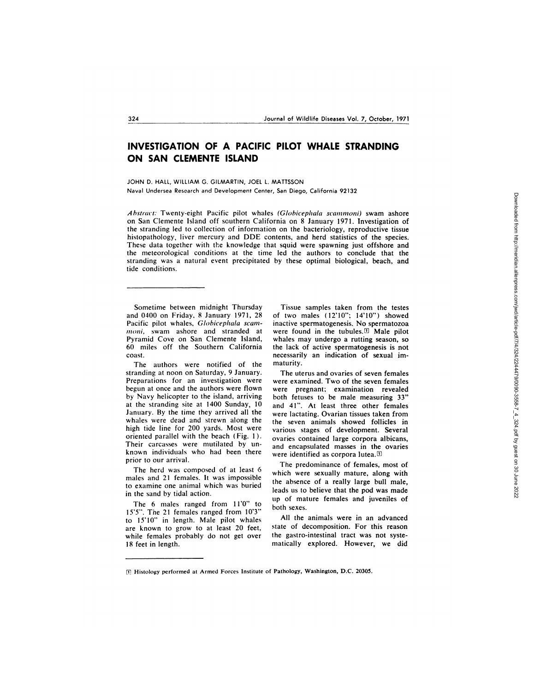## **INVESTIGATION OF A PACIFIC PILOT WHALE STRANDING ON SAN CLEMENTE ISLAND**

**JOHN D. HALL, WILLIAM G. GILMARTIN, JOEL L. MATTSSON** Naval Undersea Research and Development Center, San Diego, California 92132

*Abstract:* Twenty-eight Pacific pilot whales *(Globicephala scammoni)* swam ashore on San Clemente Island off southern California on 8 January 1971. Investigation of the stranding led to collection of information on the bacteriology, reproductive tissue histopathology, liver mercury and DDE contents, and herd statistics of the species. These data together with the knowledge that squid were spawning just offshore and the meteorological conditions at the time led the authors to conclude that the stranding was a natural event precipitated by these optimal biological, beach, and tide conditions.

Sometime between midnight Thursday and 0400 on Friday, 8 January 1971, 28 Pacific pilot whales, *Globicephala scammoni,* swam ashore and stranded at Pyramid Cove on San Clemente Island, 60 miles off the Southern California coast.

The authors were notified of the stranding at noon on Saturday, 9 January. Preparations for an investigation were begun at once and the authors were flown by Navy helicopter to the island, arriving at the stranding site at  $1400$  Sunday,  $10$ January. By the time they arrived all the whales were dead and strewn along the high tide line for 200 yards. Most were oriented parallel with the beach (Fig. 1). Their carcasses were mutilated by un known individuals who had been there prior to our arrival.

The herd was composed of at least 6 males and 21 females. It was impossible to examine one animal which was buried in the sand by tidal action.

The 6 males ranged from 11'0" to *15'S".* Tne 21 females ranged from 10'3" to l5'lO" in length. Male pilot whales are known to grow to at least 20 feet, while females probably do not get over 18 feet in length.

Tissue samples taken from the testes of two males (I2'lO"; l4'lO") showed inactive spermatogenesis. No spermatozoa were found in the tubules. $\mathbb I$  Male pilot whales may undergo a rutting season, so the lack of active spermatogenesis is not necessarily an indication of sexual im maturity.

The uterus and ovaries of seven females were examined. Two of the seven females were pregnant; examination revealed both fetuses to be male measuring 33" and 41". At least three other females were lactating. Ovarian tissues taken from the seven animals showed follicles in various stages of development. Several ovaries contained large corpora albicans, and encapsulated masses in the ovaries were identified as corpora lutea. $\Box$ 

The predominance of females, most of which were sexually mature, along with the absence of a really large bull male, leads us to believe that the pod was made up of mature females and juveniles of both sexes.

All the animals were in an advanced state of decomposition. For this reason the gastro-intestinal tract was not systematically explored. However, we did

Histology performed at Armed Forces Institute of Pathology, Washington, D.C. 20305.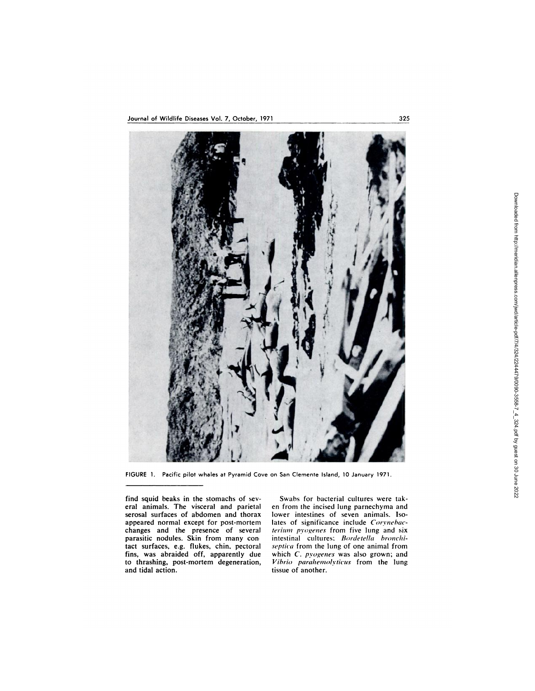Journal of Wildlife Diseases Vol. 7, October, 1971 325



FIGURE 1. Pacific pilot whales at Pyramid Cove on San Clemente Island, 10 January 1971.

find squid beaks in the stomachs of sev eral animals. The visceral and parietal serosal surfaces of abdomen and thorax appeared normal except for post-mortem changes and the presence of several parasitic nodules. Skin from many co tact surfaces, e.g. flukes, chin, pectoral fins, was abraided off, apparently due to thrashing, post-mortem degeneration, and tidal action.

Swabs for bacterial cultures were tak en from the incised lung parnechyma and lower intestines of seven animals. Isolates of significance include Corynebac*terium pyogenes* from five lung and six intestinal cultures: *Bordetella bronchiseptica* from the lung of one animal froni which *C. pvogenes* was also grown; and  $Vibrio$  *parahemolyticus* from the lung tissue of another.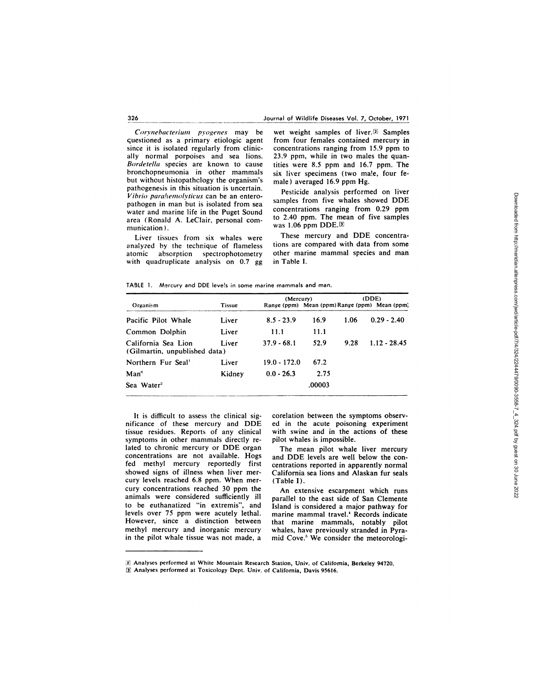*Corynehaczeriutn pvogenes* may be questioned as a primary etiologic agent since it is isolated regularly from clinic ally normal porpoises and sea lions. *Bordete//a* species are known to cause bronchopneumonia in other mammals but without histopathclogy the organism's pathogenesis in this situation is uncertain. *Vihrio parahe'no/vlicus* can be an entero pathogen in man but is isolated from sea water and marine life in the Puget Sound area (Ronald A. LeClair, personal com munication).

Liver tissues from six whales were analyzed by the technique of flameless atomic absorption spectrophotometry with quadruplicate analysis on 0.7 gg wet weight samples of liver.<sup>[2]</sup> Samples from four females contained mercury in concentrations ranging from 15.9 ppm to 23.9 ppm, while in two males the quan. tities were 8.5 ppm and 16.7 ppm. The six liver specimens (two male, four fe male) averaged 16.9 ppm Hg.

Pesticide analysis performed on liver samples from five whales showed DDE concentrations ranging from 0.29 ppm to 2.40 ppm. The mean of five samples was 1.06 ppm DDE.<sup>3</sup>

These mercury and DDE concentrations are compared with data from some other marine mammal species and man in Table I.

TABLE 1. Mercury and DDE levels in some marine mammals and man.

|                                        | (Mercury)      |        | (DDE) |                                               |
|----------------------------------------|----------------|--------|-------|-----------------------------------------------|
| <b>Tissue</b>                          |                |        |       |                                               |
| Liver                                  | $8.5 - 23.9$   | 16.9   | 1.06  | $0.29 - 2.40$                                 |
| Liver                                  | 11.1           | 11.1   |       |                                               |
| Liver<br>(Gilmartin, unpublished data) | $37.9 - 68.1$  | 52.9   | 9.28  | 1.12 - 28.45                                  |
| Liver                                  | $19.0 - 172.0$ | 67.2   |       |                                               |
| Kidney                                 | $0.0 - 26.3$   | 2.75   |       |                                               |
|                                        |                | .00003 |       |                                               |
|                                        |                |        |       | Range (ppm) Mean (ppm) Range (ppm) Mean (ppm) |

**It** is difficult to assess the clinical sig nificance of these mercury and DDE tissue residues. Reports of any clinical symptoms in other mammals directly related to chronic mercury or DDE organ concentrations are not available. Hogs fed methyl mercury reportedly first showed signs of illness when liver mer cury levels reached 6.8 ppm. When mer cury concentrations reached 30 ppm the animals were considered sufficiently ill to be euthanatized "in extremis", and levels over 75 ppm were acutely lethal. However, since a distinction between methyl mercury and inorganic mercury in the pilot whale tissue was not made, a corelation between the symptoms observ ed in the acute poisoning experiment with swine and in the actions of these pilot whales is impossible.

The mean pilot whale liver mercury and DDE levels are well below the con centrations reported in apparently normal California sea lions and Alaskan fur seals (Table I).

An extensive escarpment which runs parallel to the east side of San Clemente Island is considered a major pathway for marine mammal travel.4 Records indicate that marine mammals, notably pilot whales, have previously stranded in Pyra mid Cove.' We consider the meteorologi-

<sup>[2]</sup> Analyses performed at White Mountain Research Station, Univ. of California, Berkeley 94720.

Analyses performed at Toxicology Dept. Univ. of California, Davis 95616.